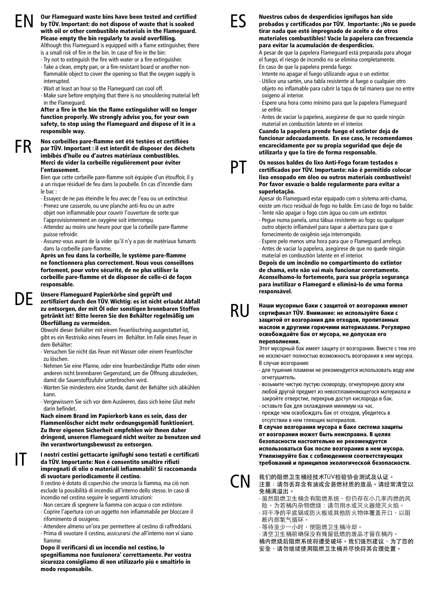FR

IT

EN Our Flameguard waste bins have been tested and certified ES<br>by TÜV. Important: do not dispose of waste that is soaked with all or other combustible materials in the Flameguard with oil or other combustible materials in the Flameguard. Please empty the bin regularly to avoid overfilling.

Although this Flameguard is equipped with a flame extinguisher, there is a small risk of fire in the bin. In case of fire in the bin:

- Try not to extinguish the fire with water or a fire extinguisher.
- Take a clean, empty pan, or a fire-resistant board or another nonflammable object to cover the opening so that the oxygen supply is interrupted
- Wait at least an hour so the Flameguard can cool off.
- Make sure before emptying that there is no smouldering material left in the Flameguard.

After a fire in the bin the flame extinguisher will no longer function properly. We strongly advise you, for your own safety, to stop using the Flameguard and dispose of it in a responsible way.

### Nos corbeilles pare-flamme ont été testées et certifiées par TÜV. Important : il est interdit de disposer des déchets imbibés d'huile ou d'autres matériaux combustibles. Merci de vider la corbeille régulièrement pour éviter l'entassement.

Bien que cette corbeille pare-flamme soit équipée d'un étouffoir, il y a un risque résiduel de feu dans la poubelle. En cas d'incendie dans le bac :

- Essayez de ne pas éteindre le feu avec de l'eau ou un extincteur.
- Prenez une casserole, ou une planche anti-feu ou un autre objet non inflammable pour couvrir l'ouverture de sorte que l'approvisionnement en oxygène soit interrompu.
- Attendez au moins une heure pour que la corbeille pare-flamme puisse refroidir.
- Assurez-vous avant de la vider qu'il n'y a pas de matériaux fumants dans la corbeille pare-flamme.

Après un feu dans la corbeille, le système pare-flamme ne fonctionnera plus correctement. Nous vous conseillons fortement, pour votre sécurité, de ne plus utiliser la corbeille pare-flamme et de disposer de celle-ci de façon responsable.

### Unsere Flameguard Papierkörbe sind geprüft und zertifiziert durch den TÜV. Wichtig: es ist nicht erlaubt Abfall zu entsorgen, der mit Öl oder sonstigen brennbaren Stoffen getränkt ist! Bitte leeren Sie den Behälter regelmäßig um Überfüllung zu vermeiden. DE

Obwohl dieser Behälter mit einem Feuerlöschring ausgestattet ist, gibt es ein Restrisiko eines Feuers im Behälter. Im Falle eines Feuer in dem Behälter:

- Versuchen Sie nicht das Feuer mit Wasser oder einem Feuerlöscher zu löschen.
- Nehmen Sie eine Pfanne, oder eine feuerbeständige Platte oder einen anderen nicht brennbaren Gegenstand, um die Öffnung abzudecken, damit die Sauerstoffzufuhr unterbrochen wird.
- Warten Sie mindestens eine Stunde, damit der Behälter sich abkühlen kann.
- Vergewissern Sie sich vor dem Ausleeren, dass sich keine Glut mehr darin befindet.

Nach einem Brand im Papierkorb kann es sein, dass der Flammenlöscher nicht mehr ordnungsgemäß funktioniert. Zu Ihrer eigenen Sicherheit empfehlen wir Ihnen daher dringend, unseren Flameguard nicht weiter zu benutzen und ihn verantwortungsbewusst zu entsorgen.

# I nostri cestini gettacarte ignifughi sono testati e certificati da TÜV. Importante: Non è consentito smaltire rifiuti impregnati di olio o materiali infiammabili! Si raccomanda di svuotare periodicamente il cestino.

Il cestino è dotato di coperchio che smorza la fiamma, ma ciò non esclude la possibilità di incendio all'interno dello stesso. In caso di incendio nel cestino seguire le seguenti istruzioni:

- Non cercare di spegnere la fiamma con acqua o con estintore.
- Coprire l'apertura con un oggetto non infiammabile per bloccare il rifornimento di ossigeno.
- Attendere almeno un'ora per permettere al cestino di raffreddarsi.
- Prima di svuotare il cestino, assicurarsi che all'interno non vi siano fiamme.
- Dopo il verificarsi di un incendio nel cestino, lo

spegnifiamma non funzionera' correttamente. Per vostra sicurezza consigliamo di non utilizzarlo piú e smaltirlo in modo responsabile.



PT

Nuestros cubos de desperdicios ignífugos han sido probados y certificados por TÜV. Importante: ¡No se puede tirar nada que esté impregnado de aceite o de otros materiales combustibles! Vacíe la papelera con frecuencia para evitar la acumulación de desperdicios.

A pesar de que la papelera Flameguard está preparada para ahogar el fuego, el riesgo de incendio no se elimina completamente. En caso de que la papelera prenda fuego:

- Intente no apagar el fuego utilizando agua o un extintor.
- Utilice una sartén, una tabla resistente al fuego o cualquier otro objeto no inflamable para cubrir la tapa de tal manera que no entre oxígeno al interior.

- Espere una hora como mínimo para que la papelera Flameguard se enfríe.

- Antes de vaciar la papelera, asegúrese de que no quede ningún material en combustión latente en el interior.

Cuando la papelera prende fuego el extintor deja de funcionar adecuadamente. En ese caso, le recomendamos encarecidamente por su propia seguridad que deje de utilizarla y que la tire de forma responsable.

## Os nossos baldes do lixo Anti-Fogo foram testados e certificados por TÜV. Importante: não é permitido colocar lixo ensopado em óleo ou outros materiais combustíveis! Por favor esvazie o balde regularmente para evitar a superlotação.

Apesar do Flameguard estar equipado com o sistema anti-chama, existe um risco residual de fogo no balde. Em caso de fogo no balde: - Tente não apagar o fogo com água ou com um extintor.

- Pegue numa panela, uma tábua resistente ao fogo ou qualquer outro objecto inflamável para tapar a abertura para que o fornecimento de oxigênio seja interrompido.
- Espere pelo menos uma hora para que o Flameguard arrefeça.
- Antes de vaciar la papelera, asegúrese de que no quede ningún material en combustión latente en el interior.

Depois de um incêndio no compartimento do extintor de chama, este não vai mais funcionar corretamente. Aconselhamo-lo fortemente, para sua própria segurança para inutilizar o Flamegard e eliminá-lo de uma forma responsável.

Наши мусорные баки с защитой от возгорания имеют сертификат TÜV. Внимание: не используйте баки с защитой от возгорания для отходов, пропитанных маслом и другими горючими материалами. Регулярно освобождайте бак от мусора, не допуская его переполнения. **RU** 

> Этот мусорный бак имеет защиту от возгорания. Вместе с тем это не исключает полностью возможность возгорания в нем мусора. В случае возгорания:

- для тушения пламени не рекомендуется использовать воду или огнетушитель.
- возьмите чистую пустую сковороду, огнеупорную доску или любой другой предмет из невоспламеняющегося материала и закройте отверстие, перекрыв доступ кислорода в бак.
- оставьте бак для охлаждения минимум на час. - прежде чем освобождать бак от отходов, убедитесь в
- отсутствии в нем тлеющих материалов.

В случае возгорания мусора в баке система защиты от возгорания может быть неисправна. В целях безопасности настоятельно не рекомендуется использоваться бак после возгорания в нем мусора. Утилизируйте бак с соблюдением соответствующих требований и принципов экологической безопасности.

CN

我们的阻燃卫生桶经技术TÜV检验协会测试及认证。 注意:请勿丢弃含有油或含易燃材质的废品。请经常清空以 免桶满溢出。

- 虽然阻燃卫生桶含有阻燃系统, 但仍存在小几率内燃的风 险。为若桶内杂物燃烧:请勿用水或灭火器熄灭火焰。 - 将干净的平底锅或防火板或其他防火物体覆盖开口,以阻

- 断内部氧气循环。
- 等待至少一小时,使阻燃卫生桶冷却。

- 清空卫生桶前确保没有残留低燃的废品才留在桶内。 桶内燃烧后阻燃系统将遭受破坏。我们强烈建议,为了您的 安全,请勿继续使用阻燃卫生桶并尽快将其合理处置。